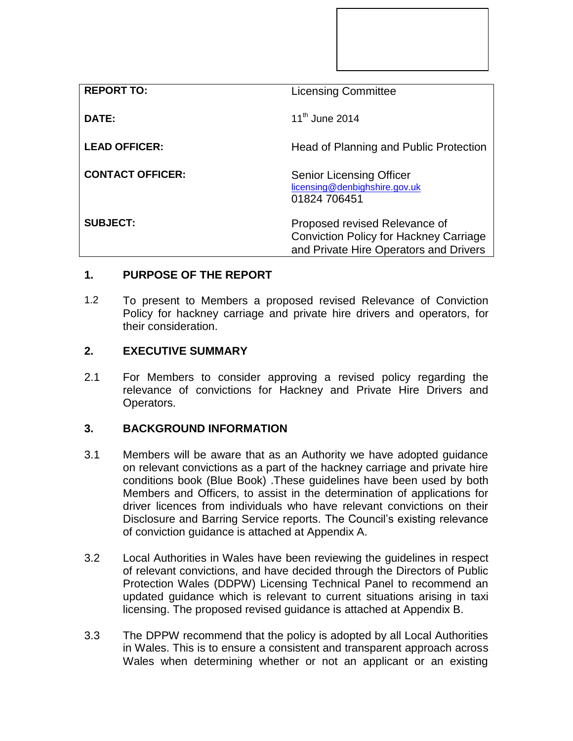| <b>REPORT TO:</b>       | <b>Licensing Committee</b>                                                                                               |
|-------------------------|--------------------------------------------------------------------------------------------------------------------------|
| DATE:                   | $11^{th}$ June 2014                                                                                                      |
| <b>LEAD OFFICER:</b>    | Head of Planning and Public Protection                                                                                   |
| <b>CONTACT OFFICER:</b> | <b>Senior Licensing Officer</b><br>licensing@denbighshire.gov.uk<br>01824 706451                                         |
| <b>SUBJECT:</b>         | Proposed revised Relevance of<br><b>Conviction Policy for Hackney Carriage</b><br>and Private Hire Operators and Drivers |

# **1. PURPOSE OF THE REPORT**

1.2 To present to Members a proposed revised Relevance of Conviction Policy for hackney carriage and private hire drivers and operators, for their consideration.

#### **2. EXECUTIVE SUMMARY**

2.1 For Members to consider approving a revised policy regarding the relevance of convictions for Hackney and Private Hire Drivers and Operators.

#### **3. BACKGROUND INFORMATION**

- 3.1 Members will be aware that as an Authority we have adopted guidance on relevant convictions as a part of the hackney carriage and private hire conditions book (Blue Book) .These guidelines have been used by both Members and Officers, to assist in the determination of applications for driver licences from individuals who have relevant convictions on their Disclosure and Barring Service reports. The Council's existing relevance of conviction guidance is attached at Appendix A.
- 3.2 Local Authorities in Wales have been reviewing the guidelines in respect of relevant convictions, and have decided through the Directors of Public Protection Wales (DDPW) Licensing Technical Panel to recommend an updated guidance which is relevant to current situations arising in taxi licensing. The proposed revised guidance is attached at Appendix B.
- 3.3 The DPPW recommend that the policy is adopted by all Local Authorities in Wales. This is to ensure a consistent and transparent approach across Wales when determining whether or not an applicant or an existing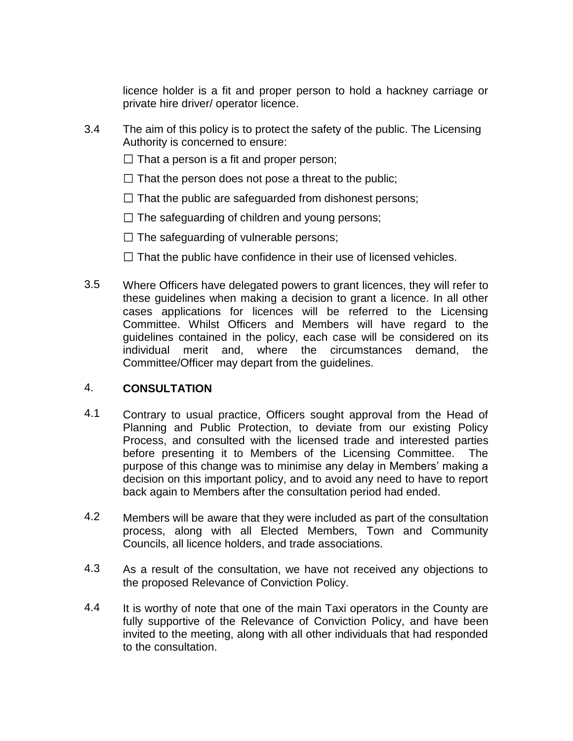licence holder is a fit and proper person to hold a hackney carriage or private hire driver/ operator licence.

- 3.4 The aim of this policy is to protect the safety of the public. The Licensing Authority is concerned to ensure:
	- $\Box$  That a person is a fit and proper person;
	- $\Box$  That the person does not pose a threat to the public;
	- $\Box$  That the public are safeguarded from dishonest persons;
	- $\Box$  The safeguarding of children and young persons;
	- $\Box$  The safeguarding of vulnerable persons;
	- $\Box$  That the public have confidence in their use of licensed vehicles.
- 3.5 Where Officers have delegated powers to grant licences, they will refer to these guidelines when making a decision to grant a licence. In all other cases applications for licences will be referred to the Licensing Committee. Whilst Officers and Members will have regard to the guidelines contained in the policy, each case will be considered on its individual merit and, where the circumstances demand, the Committee/Officer may depart from the guidelines.

### 4. **CONSULTATION**

- 4.1 Contrary to usual practice, Officers sought approval from the Head of Planning and Public Protection, to deviate from our existing Policy Process, and consulted with the licensed trade and interested parties before presenting it to Members of the Licensing Committee. The purpose of this change was to minimise any delay in Members' making a decision on this important policy, and to avoid any need to have to report back again to Members after the consultation period had ended.
- 4.2 Members will be aware that they were included as part of the consultation process, along with all Elected Members, Town and Community Councils, all licence holders, and trade associations.
- 4.3 As a result of the consultation, we have not received any objections to the proposed Relevance of Conviction Policy.
- 4.4 It is worthy of note that one of the main Taxi operators in the County are fully supportive of the Relevance of Conviction Policy, and have been invited to the meeting, along with all other individuals that had responded to the consultation.